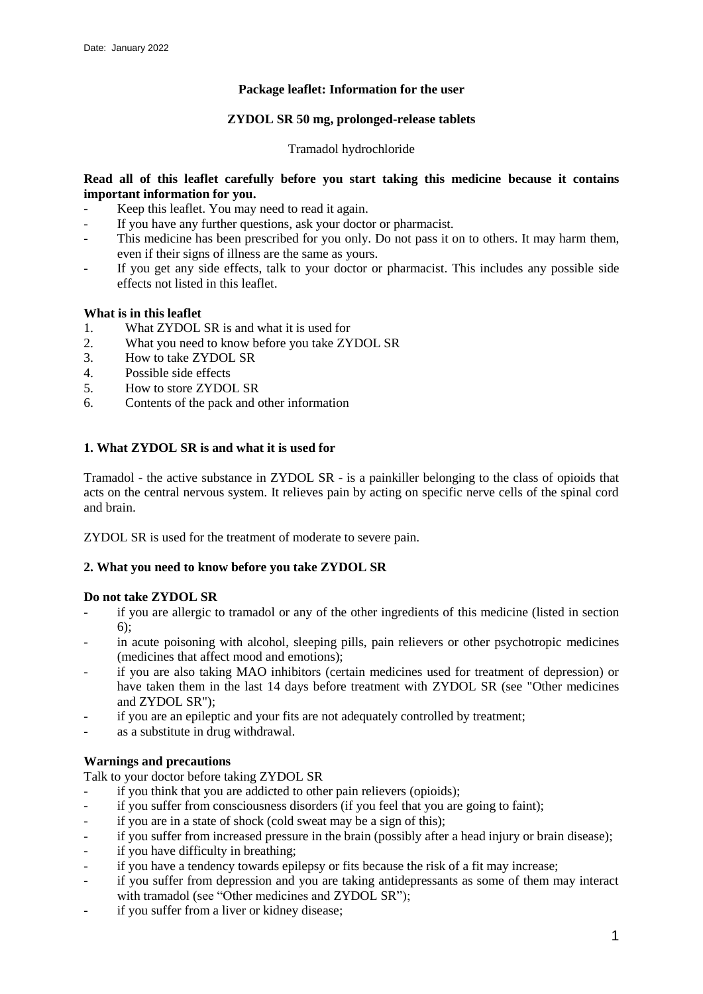# **Package leaflet: Information for the user**

## **ZYDOL SR 50 mg, prolonged-release tablets**

### Tramadol hydrochloride

# **Read all of this leaflet carefully before you start taking this medicine because it contains important information for you.**

- Keep this leaflet. You may need to read it again.
- If you have any further questions, ask your doctor or pharmacist.
- This medicine has been prescribed for you only. Do not pass it on to others. It may harm them, even if their signs of illness are the same as yours.
- If you get any side effects, talk to your doctor or pharmacist. This includes any possible side effects not listed in this leaflet.

### **What is in this leaflet**

- 1. What ZYDOL SR is and what it is used for
- 2. What you need to know before you take ZYDOL SR<br>3 How to take ZYDOL SR
- 3. How to take ZYDOL SR  $\triangle$  Possible side effects
- Possible side effects
- 5. How to store ZYDOL SR
- 6. Contents of the pack and other information

# **1. What ZYDOL SR is and what it is used for**

Tramadol - the active substance in ZYDOL SR - is a painkiller belonging to the class of opioids that acts on the central nervous system. It relieves pain by acting on specific nerve cells of the spinal cord and brain.

ZYDOL SR is used for the treatment of moderate to severe pain.

## **2. What you need to know before you take ZYDOL SR**

### **Do not take ZYDOL SR**

- if you are allergic to tramadol or any of the other ingredients of this medicine (listed in section  $6$ :
- in acute poisoning with alcohol, sleeping pills, pain relievers or other psychotropic medicines (medicines that affect mood and emotions);
- if you are also taking MAO inhibitors (certain medicines used for treatment of depression) or have taken them in the last 14 days before treatment with ZYDOL SR (see "Other medicines and ZYDOL SR");
- if you are an epileptic and your fits are not adequately controlled by treatment;
- as a substitute in drug withdrawal.

### **Warnings and precautions**

Talk to your doctor before taking ZYDOL SR

- if you think that you are addicted to other pain relievers (opioids);
- if you suffer from consciousness disorders (if you feel that you are going to faint);
- if you are in a state of shock (cold sweat may be a sign of this);
- if you suffer from increased pressure in the brain (possibly after a head injury or brain disease);
- if you have difficulty in breathing;
- if you have a tendency towards epilepsy or fits because the risk of a fit may increase;
- if you suffer from depression and you are taking antidepressants as some of them may interact with tramadol (see "Other medicines and ZYDOL SR");
- if you suffer from a liver or kidney disease;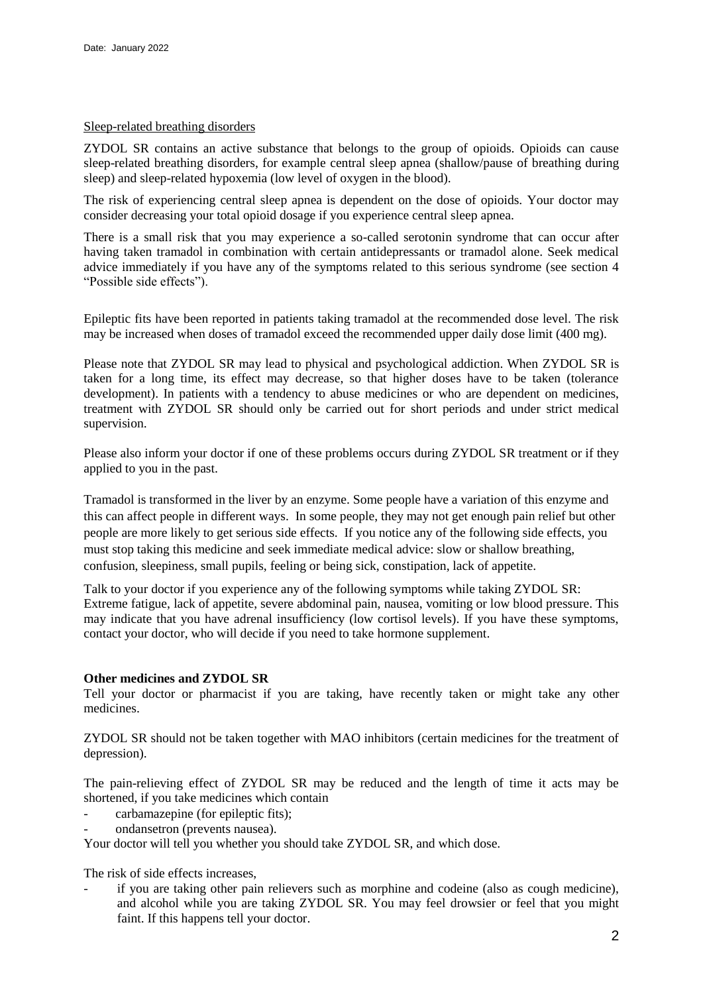### Sleep-related breathing disorders

ZYDOL SR contains an active substance that belongs to the group of opioids. Opioids can cause sleep-related breathing disorders, for example central sleep apnea (shallow/pause of breathing during sleep) and sleep-related hypoxemia (low level of oxygen in the blood).

The risk of experiencing central sleep apnea is dependent on the dose of opioids. Your doctor may consider decreasing your total opioid dosage if you experience central sleep apnea.

There is a small risk that you may experience a so-called serotonin syndrome that can occur after having taken tramadol in combination with certain antidepressants or tramadol alone. Seek medical advice immediately if you have any of the symptoms related to this serious syndrome (see section 4 "Possible side effects").

Epileptic fits have been reported in patients taking tramadol at the recommended dose level. The risk may be increased when doses of tramadol exceed the recommended upper daily dose limit (400 mg).

Please note that ZYDOL SR may lead to physical and psychological addiction. When ZYDOL SR is taken for a long time, its effect may decrease, so that higher doses have to be taken (tolerance development). In patients with a tendency to abuse medicines or who are dependent on medicines, treatment with ZYDOL SR should only be carried out for short periods and under strict medical supervision.

Please also inform your doctor if one of these problems occurs during ZYDOL SR treatment or if they applied to you in the past.

Tramadol is transformed in the liver by an enzyme. Some people have a variation of this enzyme and this can affect people in different ways. In some people, they may not get enough pain relief but other people are more likely to get serious side effects. If you notice any of the following side effects, you must stop taking this medicine and seek immediate medical advice: slow or shallow breathing, confusion, sleepiness, small pupils, feeling or being sick, constipation, lack of appetite.

Talk to your doctor if you experience any of the following symptoms while taking ZYDOL SR: Extreme fatigue, lack of appetite, severe abdominal pain, nausea, vomiting or low blood pressure. This may indicate that you have adrenal insufficiency (low cortisol levels). If you have these symptoms, contact your doctor, who will decide if you need to take hormone supplement.

### **Other medicines and ZYDOL SR**

Tell your doctor or pharmacist if you are taking, have recently taken or might take any other medicines.

ZYDOL SR should not be taken together with MAO inhibitors (certain medicines for the treatment of depression).

The pain-relieving effect of ZYDOL SR may be reduced and the length of time it acts may be shortened, if you take medicines which contain

- carbamazepine (for epileptic fits);
- ondansetron (prevents nausea).

Your doctor will tell you whether you should take ZYDOL SR, and which dose.

The risk of side effects increases,

if you are taking other pain relievers such as morphine and codeine (also as cough medicine), and alcohol while you are taking ZYDOL SR. You may feel drowsier or feel that you might faint. If this happens tell your doctor.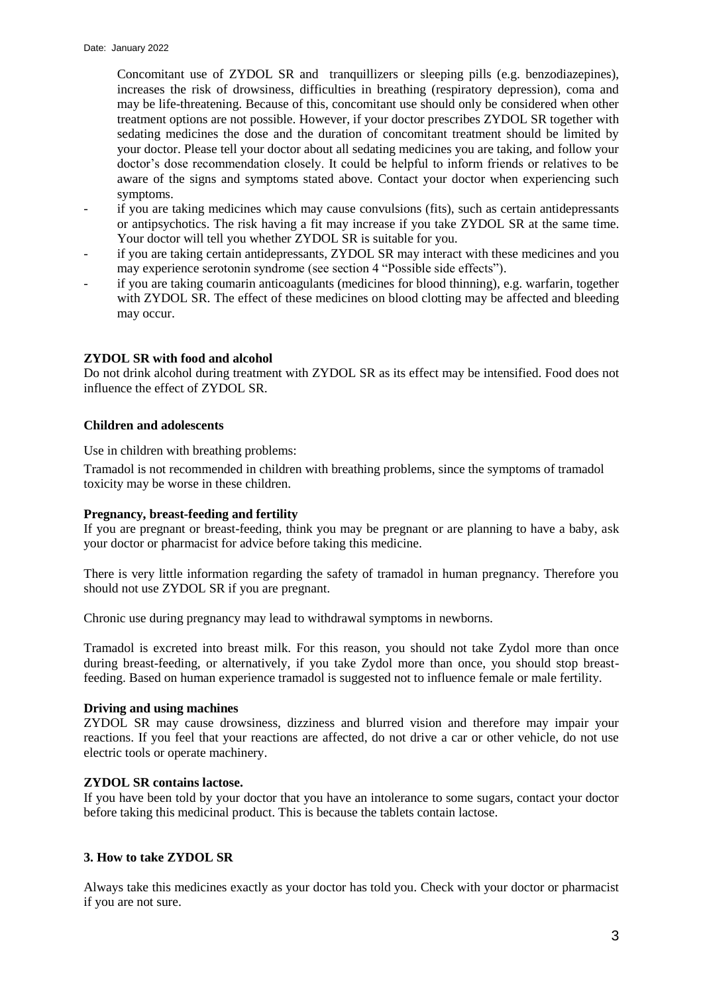Concomitant use of ZYDOL SR and tranquillizers or sleeping pills (e.g. benzodiazepines), increases the risk of drowsiness, difficulties in breathing (respiratory depression), coma and may be life-threatening. Because of this, concomitant use should only be considered when other treatment options are not possible. However, if your doctor prescribes ZYDOL SR together with sedating medicines the dose and the duration of concomitant treatment should be limited by your doctor. Please tell your doctor about all sedating medicines you are taking, and follow your doctor's dose recommendation closely. It could be helpful to inform friends or relatives to be aware of the signs and symptoms stated above. Contact your doctor when experiencing such symptoms.

- if you are taking medicines which may cause convulsions (fits), such as certain antidepressants or antipsychotics. The risk having a fit may increase if you take ZYDOL SR at the same time. Your doctor will tell you whether ZYDOL SR is suitable for you.
- if you are taking certain antidepressants, ZYDOL SR may interact with these medicines and you may experience serotonin syndrome (see section 4 "Possible side effects").
- if you are taking coumarin anticoagulants (medicines for blood thinning), e.g. warfarin, together with ZYDOL SR. The effect of these medicines on blood clotting may be affected and bleeding may occur.

### **ZYDOL SR with food and alcohol**

Do not drink alcohol during treatment with ZYDOL SR as its effect may be intensified. Food does not influence the effect of ZYDOL SR.

#### **Children and adolescents**

Use in children with breathing problems:

Tramadol is not recommended in children with breathing problems, since the symptoms of tramadol toxicity may be worse in these children.

#### **Pregnancy, breast-feeding and fertility**

If you are pregnant or breast-feeding, think you may be pregnant or are planning to have a baby, ask your doctor or pharmacist for advice before taking this medicine.

There is very little information regarding the safety of tramadol in human pregnancy. Therefore you should not use ZYDOL SR if you are pregnant.

Chronic use during pregnancy may lead to withdrawal symptoms in newborns.

Tramadol is excreted into breast milk. For this reason, you should not take Zydol more than once during breast-feeding, or alternatively, if you take Zydol more than once, you should stop breastfeeding. Based on human experience tramadol is suggested not to influence female or male fertility.

#### **Driving and using machines**

ZYDOL SR may cause drowsiness, dizziness and blurred vision and therefore may impair your reactions. If you feel that your reactions are affected, do not drive a car or other vehicle, do not use electric tools or operate machinery.

#### **ZYDOL SR contains lactose.**

If you have been told by your doctor that you have an intolerance to some sugars, contact your doctor before taking this medicinal product. This is because the tablets contain lactose.

### **3. How to take ZYDOL SR**

Always take this medicines exactly as your doctor has told you. Check with your doctor or pharmacist if you are not sure.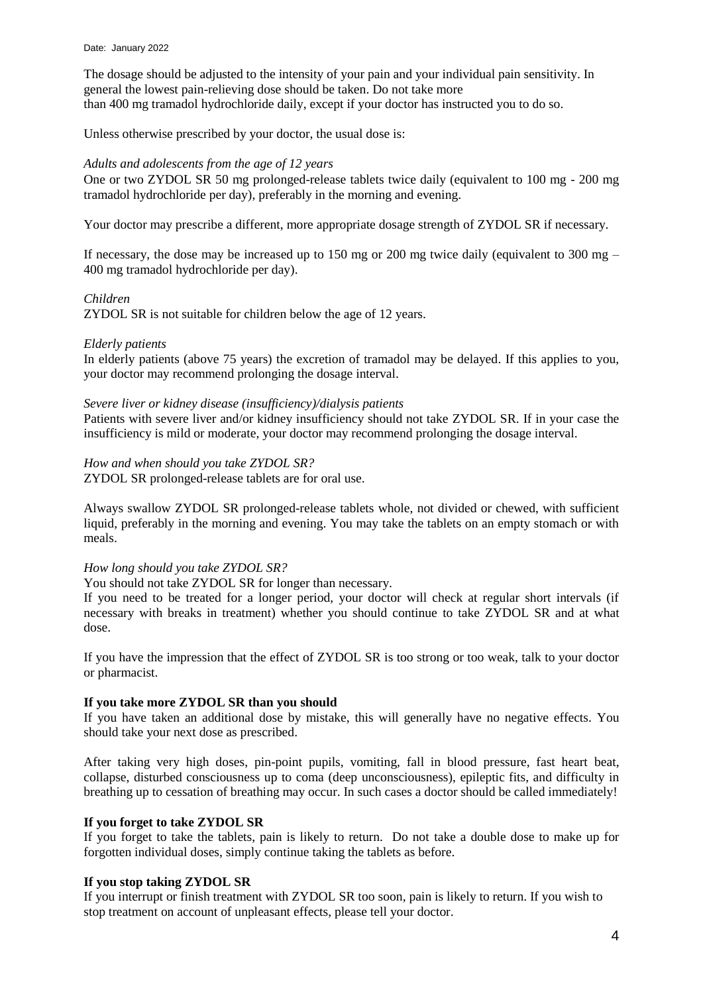The dosage should be adjusted to the intensity of your pain and your individual pain sensitivity. In general the lowest pain-relieving dose should be taken. Do not take more than 400 mg tramadol hydrochloride daily, except if your doctor has instructed you to do so.

Unless otherwise prescribed by your doctor, the usual dose is:

# *Adults and adolescents from the age of 12 years*

One or two ZYDOL SR 50 mg prolonged-release tablets twice daily (equivalent to 100 mg - 200 mg tramadol hydrochloride per day), preferably in the morning and evening.

Your doctor may prescribe a different, more appropriate dosage strength of ZYDOL SR if necessary.

If necessary, the dose may be increased up to 150 mg or 200 mg twice daily (equivalent to 300 mg  $-$ 400 mg tramadol hydrochloride per day).

#### *Children*

ZYDOL SR is not suitable for children below the age of 12 years.

#### *Elderly patients*

In elderly patients (above 75 years) the excretion of tramadol may be delayed. If this applies to you, your doctor may recommend prolonging the dosage interval.

#### *Severe liver or kidney disease (insufficiency)/dialysis patients*

Patients with severe liver and/or kidney insufficiency should not take ZYDOL SR. If in your case the insufficiency is mild or moderate, your doctor may recommend prolonging the dosage interval.

#### *How and when should you take ZYDOL SR?*

ZYDOL SR prolonged-release tablets are for oral use.

Always swallow ZYDOL SR prolonged-release tablets whole, not divided or chewed, with sufficient liquid, preferably in the morning and evening. You may take the tablets on an empty stomach or with meals.

### *How long should you take ZYDOL SR?*

You should not take ZYDOL SR for longer than necessary.

If you need to be treated for a longer period, your doctor will check at regular short intervals (if necessary with breaks in treatment) whether you should continue to take ZYDOL SR and at what dose.

If you have the impression that the effect of ZYDOL SR is too strong or too weak, talk to your doctor or pharmacist.

### **If you take more ZYDOL SR than you should**

If you have taken an additional dose by mistake, this will generally have no negative effects. You should take your next dose as prescribed.

After taking very high doses, pin-point pupils, vomiting, fall in blood pressure, fast heart beat, collapse, disturbed consciousness up to coma (deep unconsciousness), epileptic fits, and difficulty in breathing up to cessation of breathing may occur. In such cases a doctor should be called immediately!

## **If you forget to take ZYDOL SR**

If you forget to take the tablets, pain is likely to return. Do not take a double dose to make up for forgotten individual doses, simply continue taking the tablets as before.

### **If you stop taking ZYDOL SR**

If you interrupt or finish treatment with ZYDOL SR too soon, pain is likely to return. If you wish to stop treatment on account of unpleasant effects, please tell your doctor.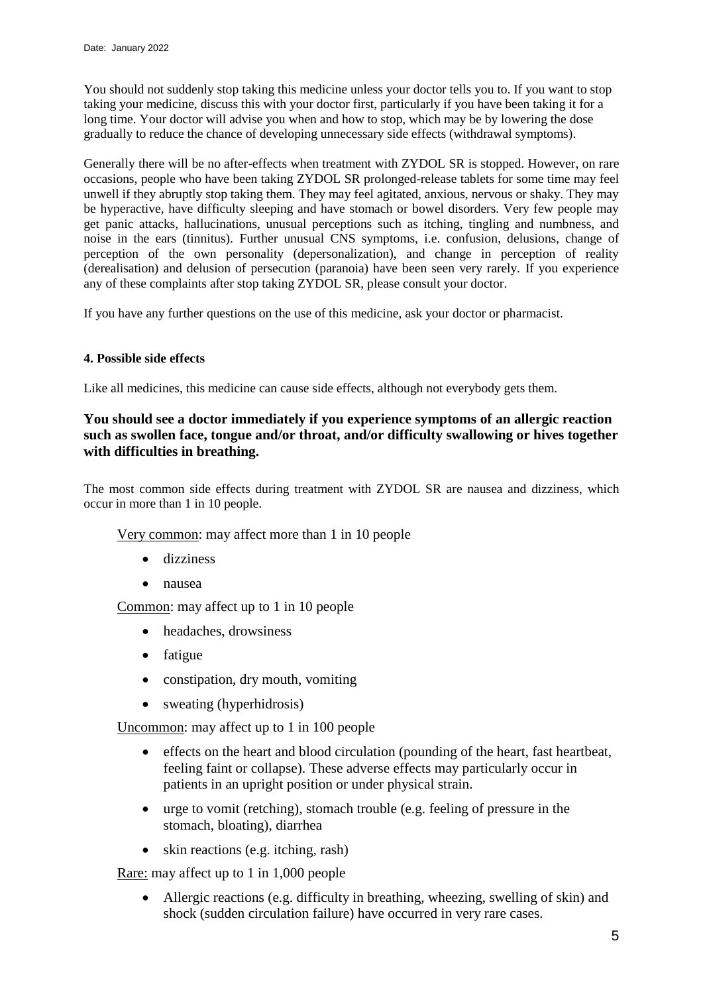You should not suddenly stop taking this medicine unless your doctor tells you to. If you want to stop taking your medicine, discuss this with your doctor first, particularly if you have been taking it for a long time. Your doctor will advise you when and how to stop, which may be by lowering the dose gradually to reduce the chance of developing unnecessary side effects (withdrawal symptoms).

Generally there will be no after-effects when treatment with ZYDOL SR is stopped. However, on rare occasions, people who have been taking ZYDOL SR prolonged-release tablets for some time may feel unwell if they abruptly stop taking them. They may feel agitated, anxious, nervous or shaky. They may be hyperactive, have difficulty sleeping and have stomach or bowel disorders. Very few people may get panic attacks, hallucinations, unusual perceptions such as itching, tingling and numbness, and noise in the ears (tinnitus). Further unusual CNS symptoms, i.e. confusion, delusions, change of perception of the own personality (depersonalization), and change in perception of reality (derealisation) and delusion of persecution (paranoia) have been seen very rarely. If you experience any of these complaints after stop taking ZYDOL SR, please consult your doctor.

If you have any further questions on the use of this medicine, ask your doctor or pharmacist.

### **4. Possible side effects**

Like all medicines, this medicine can cause side effects, although not everybody gets them.

# **You should see a doctor immediately if you experience symptoms of an allergic reaction such as swollen face, tongue and/or throat, and/or difficulty swallowing or hives together with difficulties in breathing.**

The most common side effects during treatment with ZYDOL SR are nausea and dizziness, which occur in more than 1 in 10 people.

Very common: may affect more than 1 in 10 people

- dizziness
- nausea

Common: may affect up to 1 in 10 people

- headaches, drowsiness
- fatigue
- constipation, dry mouth, vomiting
- sweating (hyperhidrosis)

Uncommon: may affect up to 1 in 100 people

- effects on the heart and blood circulation (pounding of the heart, fast heartbeat, feeling faint or collapse). These adverse effects may particularly occur in patients in an upright position or under physical strain.
- urge to vomit (retching), stomach trouble (e.g. feeling of pressure in the stomach, bloating), diarrhea
- skin reactions (e.g. itching, rash)

Rare: may affect up to 1 in 1,000 people

 Allergic reactions (e.g. difficulty in breathing, wheezing, swelling of skin) and shock (sudden circulation failure) have occurred in very rare cases.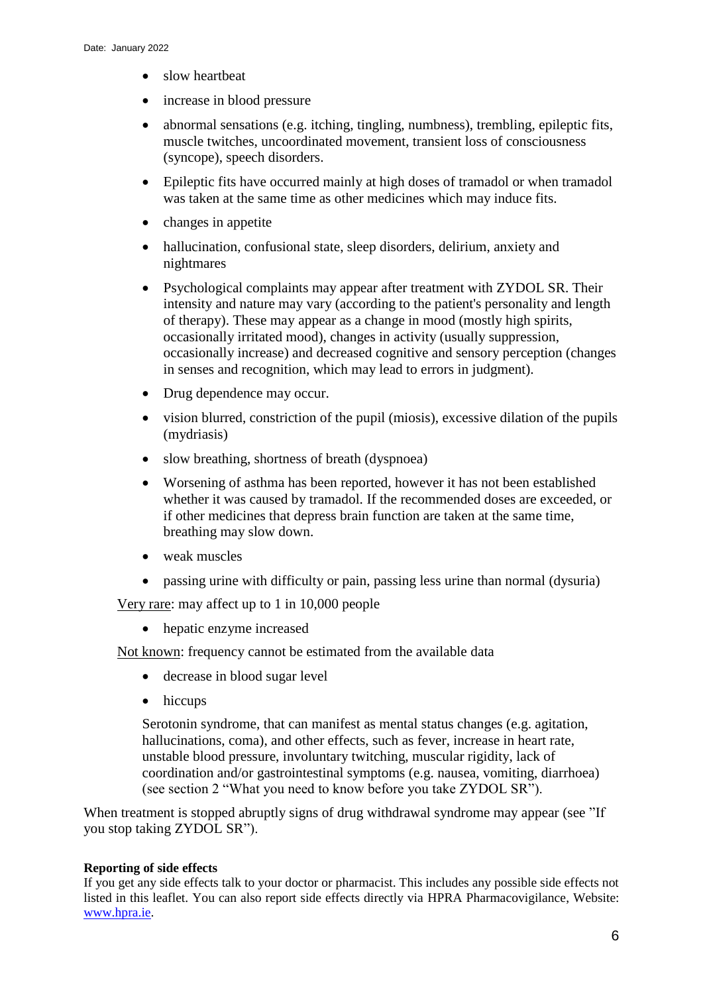- slow heartbeat
- increase in blood pressure
- abnormal sensations (e.g. itching, tingling, numbness), trembling, epileptic fits, muscle twitches, uncoordinated movement, transient loss of consciousness (syncope), speech disorders.
- Epileptic fits have occurred mainly at high doses of tramadol or when tramadol was taken at the same time as other medicines which may induce fits.
- changes in appetite
- hallucination, confusional state, sleep disorders, delirium, anxiety and nightmares
- Psychological complaints may appear after treatment with ZYDOL SR. Their intensity and nature may vary (according to the patient's personality and length of therapy). These may appear as a change in mood (mostly high spirits, occasionally irritated mood), changes in activity (usually suppression, occasionally increase) and decreased cognitive and sensory perception (changes in senses and recognition, which may lead to errors in judgment).
- Drug dependence may occur.
- vision blurred, constriction of the pupil (miosis), excessive dilation of the pupils (mydriasis)
- slow breathing, shortness of breath (dyspnoea)
- Worsening of asthma has been reported, however it has not been established whether it was caused by tramadol. If the recommended doses are exceeded, or if other medicines that depress brain function are taken at the same time, breathing may slow down.
- weak muscles
- passing urine with difficulty or pain, passing less urine than normal (dysuria)

Very rare: may affect up to 1 in 10,000 people

• hepatic enzyme increased

Not known: frequency cannot be estimated from the available data

- decrease in blood sugar level
- hiccups

Serotonin syndrome, that can manifest as mental status changes (e.g. agitation, hallucinations, coma), and other effects, such as fever, increase in heart rate, unstable blood pressure, involuntary twitching, muscular rigidity, lack of coordination and/or gastrointestinal symptoms (e.g. nausea, vomiting, diarrhoea) (see section 2 "What you need to know before you take ZYDOL SR").

When treatment is stopped abruptly signs of drug withdrawal syndrome may appear (see "If you stop taking ZYDOL SR").

# **Reporting of side effects**

If you get any side effects talk to your doctor or pharmacist. This includes any possible side effects not listed in this leaflet. You can also report side effects directly via HPRA Pharmacovigilance, Website: [www.hpra.ie.](http://www.imb.ie/)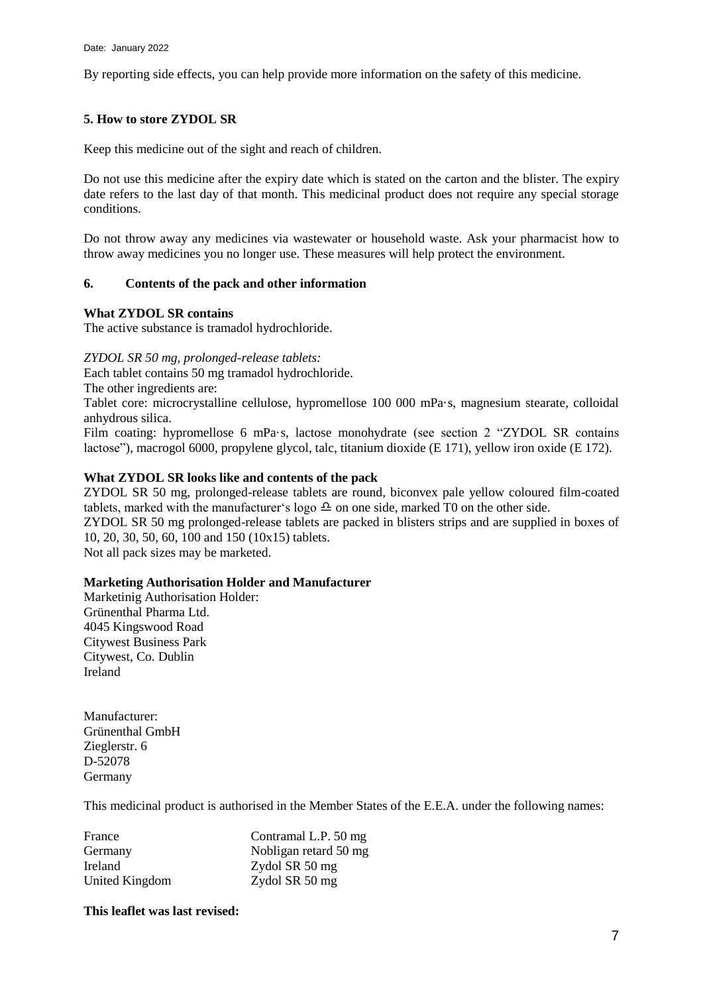By reporting side effects, you can help provide more information on the safety of this medicine.

# **5. How to store ZYDOL SR**

Keep this medicine out of the sight and reach of children.

Do not use this medicine after the expiry date which is stated on the carton and the blister. The expiry date refers to the last day of that month. This medicinal product does not require any special storage conditions.

Do not throw away any medicines via wastewater or household waste. Ask your pharmacist how to throw away medicines you no longer use. These measures will help protect the environment.

### **6. Contents of the pack and other information**

#### **What ZYDOL SR contains**

The active substance is tramadol hydrochloride.

*ZYDOL SR 50 mg, prolonged-release tablets:*

Each tablet contains 50 mg tramadol hydrochloride.

The other ingredients are:

Tablet core: microcrystalline cellulose, hypromellose 100 000 mPa·s, magnesium stearate, colloidal anhydrous silica.

Film coating: hypromellose 6 mPa·s, lactose monohydrate (see section 2 "ZYDOL SR contains lactose"), macrogol 6000, propylene glycol, talc, titanium dioxide (E 171), yellow iron oxide (E 172).

### **What ZYDOL SR looks like and contents of the pack**

ZYDOL SR 50 mg, prolonged-release tablets are round, biconvex pale yellow coloured film-coated tablets, marked with the manufacturer's logo  $\triangle$  on one side, marked T0 on the other side.

ZYDOL SR 50 mg prolonged-release tablets are packed in blisters strips and are supplied in boxes of 10, 20, 30, 50, 60, 100 and 150 (10x15) tablets.

Not all pack sizes may be marketed.

### **Marketing Authorisation Holder and Manufacturer**

Marketinig Authorisation Holder: Grünenthal Pharma Ltd. 4045 Kingswood Road Citywest Business Park Citywest, Co. Dublin Ireland

Manufacturer: Grünenthal GmbH Zieglerstr. 6 D-52078 Germany

This medicinal product is authorised in the Member States of the E.E.A. under the following names:

| France         | Contramal L.P. 50 mg  |
|----------------|-----------------------|
| Germany        | Nobligan retard 50 mg |
| Ireland        | Zydol SR 50 mg        |
| United Kingdom | Zydol SR 50 mg        |

### **This leaflet was last revised:**